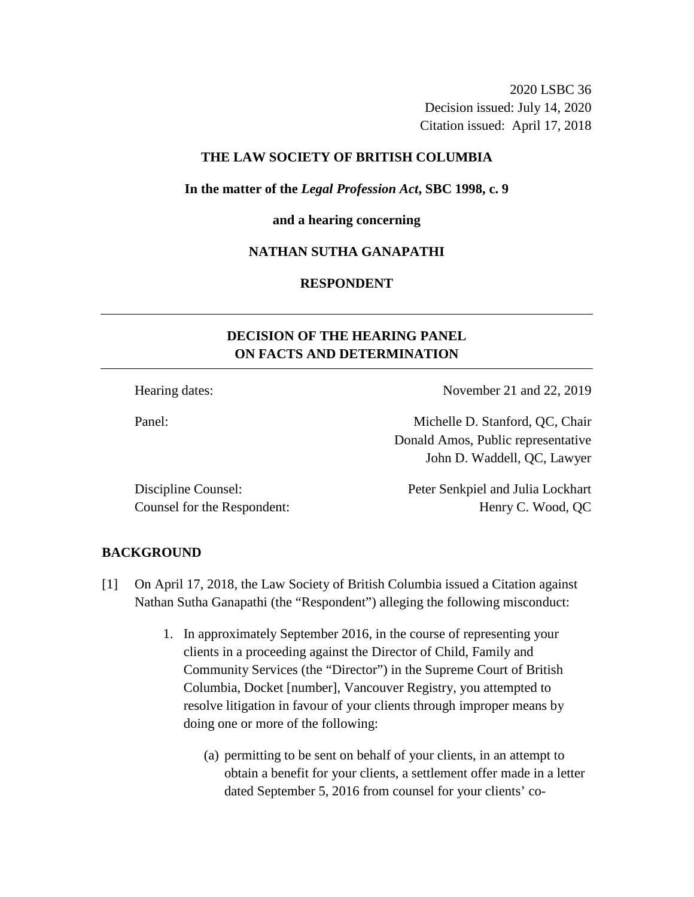2020 LSBC 36 Decision issued: July 14, 2020 Citation issued: April 17, 2018

## **THE LAW SOCIETY OF BRITISH COLUMBIA**

**In the matter of the** *Legal Profession Act***, SBC 1998, c. 9** 

### **and a hearing concerning**

## **NATHAN SUTHA GANAPATHI**

## **RESPONDENT**

# **DECISION OF THE HEARING PANEL ON FACTS AND DETERMINATION**

Hearing dates: November 21 and 22, 2019

Panel: Michelle D. Stanford, QC, Chair Donald Amos, Public representative John D. Waddell, QC, Lawyer

Discipline Counsel: Peter Senkpiel and Julia Lockhart Counsel for the Respondent: Henry C. Wood, QC

### **BACKGROUND**

- [1] On April 17, 2018, the Law Society of British Columbia issued a Citation against Nathan Sutha Ganapathi (the "Respondent") alleging the following misconduct:
	- 1. In approximately September 2016, in the course of representing your clients in a proceeding against the Director of Child, Family and Community Services (the "Director") in the Supreme Court of British Columbia, Docket [number], Vancouver Registry, you attempted to resolve litigation in favour of your clients through improper means by doing one or more of the following:
		- (a) permitting to be sent on behalf of your clients, in an attempt to obtain a benefit for your clients, a settlement offer made in a letter dated September 5, 2016 from counsel for your clients' co-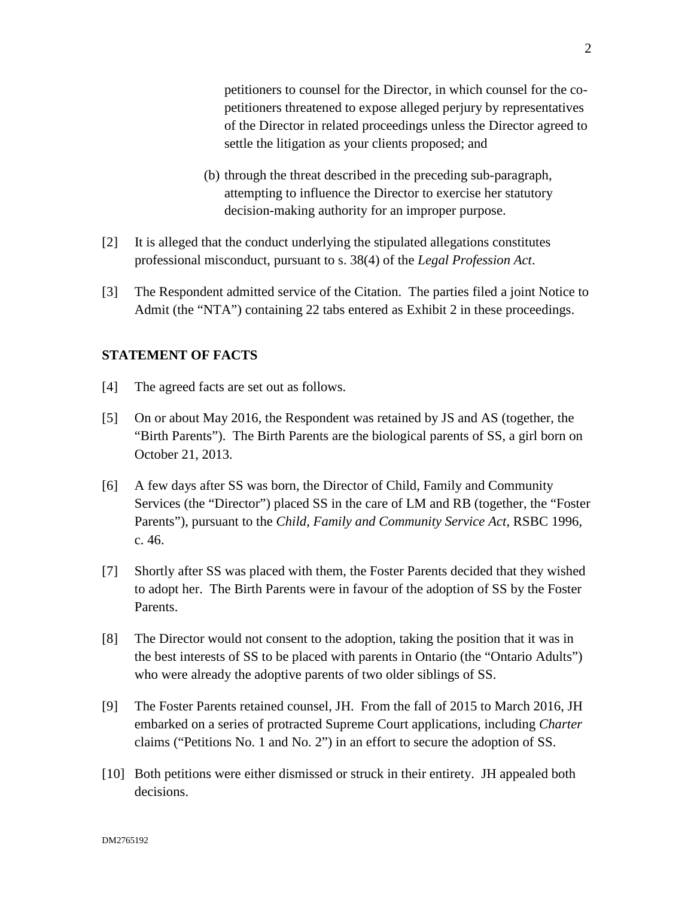petitioners to counsel for the Director, in which counsel for the copetitioners threatened to expose alleged perjury by representatives of the Director in related proceedings unless the Director agreed to settle the litigation as your clients proposed; and

- (b) through the threat described in the preceding sub-paragraph, attempting to influence the Director to exercise her statutory decision-making authority for an improper purpose.
- [2] It is alleged that the conduct underlying the stipulated allegations constitutes professional misconduct, pursuant to s. 38(4) of the *Legal Profession Act*.
- [3] The Respondent admitted service of the Citation. The parties filed a joint Notice to Admit (the "NTA") containing 22 tabs entered as Exhibit 2 in these proceedings.

## **STATEMENT OF FACTS**

- [4] The agreed facts are set out as follows.
- [5] On or about May 2016, the Respondent was retained by JS and AS (together, the "Birth Parents"). The Birth Parents are the biological parents of SS, a girl born on October 21, 2013.
- [6] A few days after SS was born, the Director of Child, Family and Community Services (the "Director") placed SS in the care of LM and RB (together, the "Foster Parents"), pursuant to the *Child, Family and Community Service Act*, RSBC 1996, c. 46.
- [7] Shortly after SS was placed with them, the Foster Parents decided that they wished to adopt her. The Birth Parents were in favour of the adoption of SS by the Foster Parents.
- [8] The Director would not consent to the adoption, taking the position that it was in the best interests of SS to be placed with parents in Ontario (the "Ontario Adults") who were already the adoptive parents of two older siblings of SS.
- [9] The Foster Parents retained counsel, JH. From the fall of 2015 to March 2016, JH embarked on a series of protracted Supreme Court applications, including *Charter* claims ("Petitions No. 1 and No. 2") in an effort to secure the adoption of SS.
- [10] Both petitions were either dismissed or struck in their entirety. JH appealed both decisions.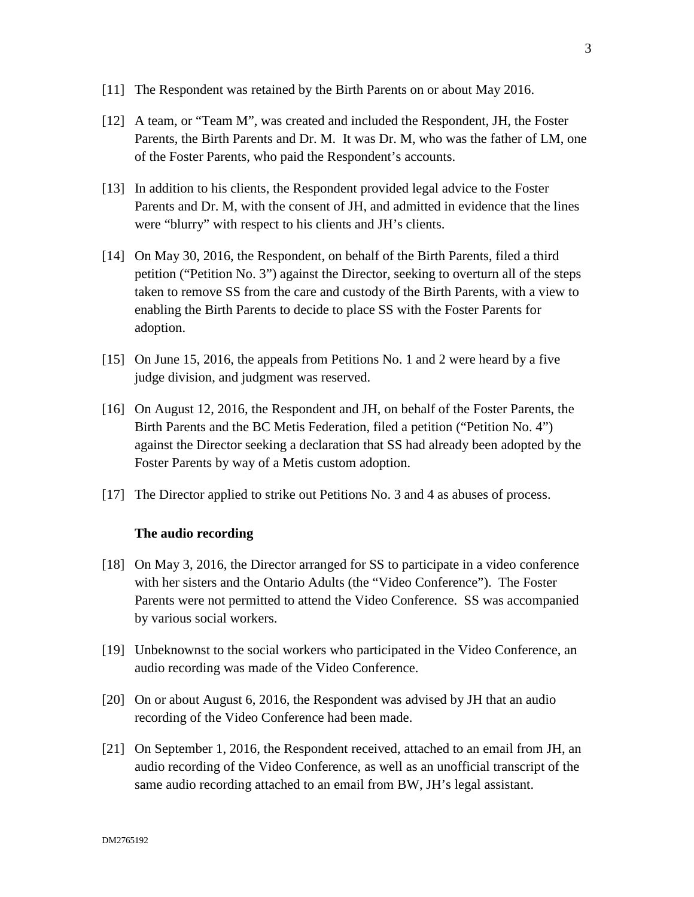- [11] The Respondent was retained by the Birth Parents on or about May 2016.
- [12] A team, or "Team M", was created and included the Respondent, JH, the Foster Parents, the Birth Parents and Dr. M. It was Dr. M, who was the father of LM, one of the Foster Parents, who paid the Respondent's accounts.
- [13] In addition to his clients, the Respondent provided legal advice to the Foster Parents and Dr. M, with the consent of JH, and admitted in evidence that the lines were "blurry" with respect to his clients and JH's clients.
- [14] On May 30, 2016, the Respondent, on behalf of the Birth Parents, filed a third petition ("Petition No. 3") against the Director, seeking to overturn all of the steps taken to remove SS from the care and custody of the Birth Parents, with a view to enabling the Birth Parents to decide to place SS with the Foster Parents for adoption.
- [15] On June 15, 2016, the appeals from Petitions No. 1 and 2 were heard by a five judge division, and judgment was reserved.
- [16] On August 12, 2016, the Respondent and JH, on behalf of the Foster Parents, the Birth Parents and the BC Metis Federation, filed a petition ("Petition No. 4") against the Director seeking a declaration that SS had already been adopted by the Foster Parents by way of a Metis custom adoption.
- [17] The Director applied to strike out Petitions No. 3 and 4 as abuses of process.

### **The audio recording**

- [18] On May 3, 2016, the Director arranged for SS to participate in a video conference with her sisters and the Ontario Adults (the "Video Conference"). The Foster Parents were not permitted to attend the Video Conference. SS was accompanied by various social workers.
- [19] Unbeknownst to the social workers who participated in the Video Conference, an audio recording was made of the Video Conference.
- [20] On or about August 6, 2016, the Respondent was advised by JH that an audio recording of the Video Conference had been made.
- [21] On September 1, 2016, the Respondent received, attached to an email from JH, an audio recording of the Video Conference, as well as an unofficial transcript of the same audio recording attached to an email from BW, JH's legal assistant.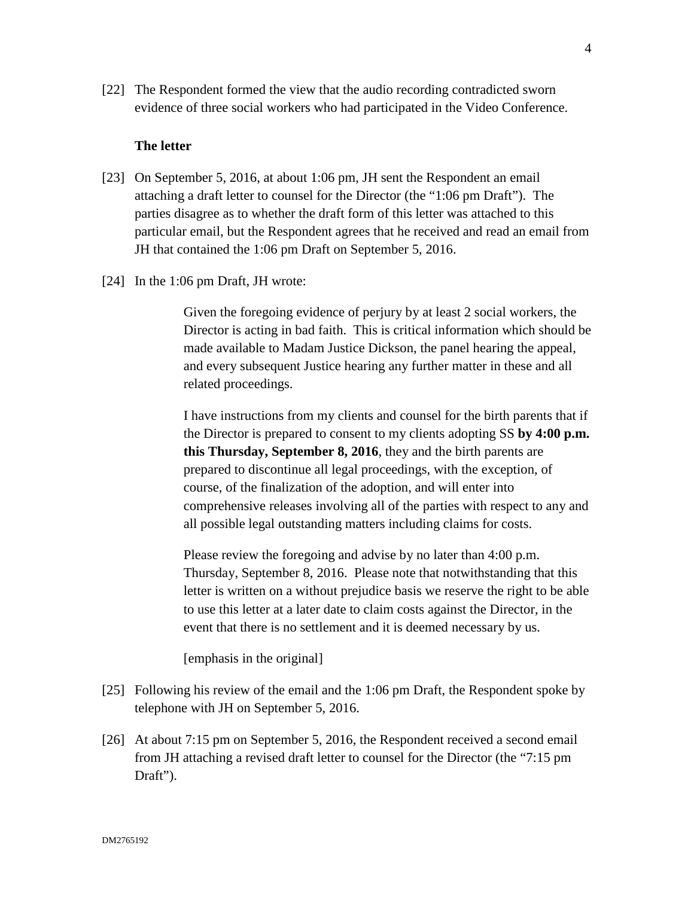[22] The Respondent formed the view that the audio recording contradicted sworn evidence of three social workers who had participated in the Video Conference.

## **The letter**

- [23] On September 5, 2016, at about 1:06 pm, JH sent the Respondent an email attaching a draft letter to counsel for the Director (the "1:06 pm Draft"). The parties disagree as to whether the draft form of this letter was attached to this particular email, but the Respondent agrees that he received and read an email from JH that contained the 1:06 pm Draft on September 5, 2016.
- [24] In the 1:06 pm Draft, JH wrote:

Given the foregoing evidence of perjury by at least 2 social workers, the Director is acting in bad faith. This is critical information which should be made available to Madam Justice Dickson, the panel hearing the appeal, and every subsequent Justice hearing any further matter in these and all related proceedings.

I have instructions from my clients and counsel for the birth parents that if the Director is prepared to consent to my clients adopting SS **by 4:00 p.m. this Thursday, September 8, 2016**, they and the birth parents are prepared to discontinue all legal proceedings, with the exception, of course, of the finalization of the adoption, and will enter into comprehensive releases involving all of the parties with respect to any and all possible legal outstanding matters including claims for costs.

Please review the foregoing and advise by no later than 4:00 p.m. Thursday, September 8, 2016. Please note that notwithstanding that this letter is written on a without prejudice basis we reserve the right to be able to use this letter at a later date to claim costs against the Director, in the event that there is no settlement and it is deemed necessary by us.

[emphasis in the original]

- [25] Following his review of the email and the 1:06 pm Draft, the Respondent spoke by telephone with JH on September 5, 2016.
- [26] At about 7:15 pm on September 5, 2016, the Respondent received a second email from JH attaching a revised draft letter to counsel for the Director (the "7:15 pm Draft").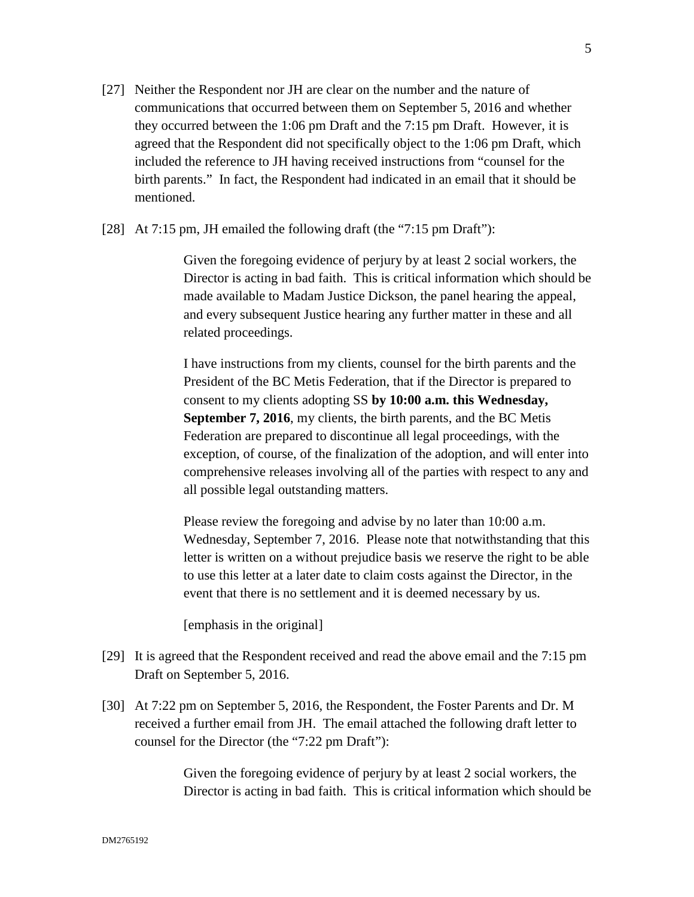- [27] Neither the Respondent nor JH are clear on the number and the nature of communications that occurred between them on September 5, 2016 and whether they occurred between the 1:06 pm Draft and the 7:15 pm Draft. However, it is agreed that the Respondent did not specifically object to the 1:06 pm Draft, which included the reference to JH having received instructions from "counsel for the birth parents." In fact, the Respondent had indicated in an email that it should be mentioned.
- [28] At 7:15 pm, JH emailed the following draft (the "7:15 pm Draft"):

Given the foregoing evidence of perjury by at least 2 social workers, the Director is acting in bad faith. This is critical information which should be made available to Madam Justice Dickson, the panel hearing the appeal, and every subsequent Justice hearing any further matter in these and all related proceedings.

I have instructions from my clients, counsel for the birth parents and the President of the BC Metis Federation, that if the Director is prepared to consent to my clients adopting SS **by 10:00 a.m. this Wednesday, September 7, 2016**, my clients, the birth parents, and the BC Metis Federation are prepared to discontinue all legal proceedings, with the exception, of course, of the finalization of the adoption, and will enter into comprehensive releases involving all of the parties with respect to any and all possible legal outstanding matters.

Please review the foregoing and advise by no later than 10:00 a.m. Wednesday, September 7, 2016. Please note that notwithstanding that this letter is written on a without prejudice basis we reserve the right to be able to use this letter at a later date to claim costs against the Director, in the event that there is no settlement and it is deemed necessary by us.

[emphasis in the original]

- [29] It is agreed that the Respondent received and read the above email and the 7:15 pm Draft on September 5, 2016.
- [30] At 7:22 pm on September 5, 2016, the Respondent, the Foster Parents and Dr. M received a further email from JH. The email attached the following draft letter to counsel for the Director (the "7:22 pm Draft"):

Given the foregoing evidence of perjury by at least 2 social workers, the Director is acting in bad faith. This is critical information which should be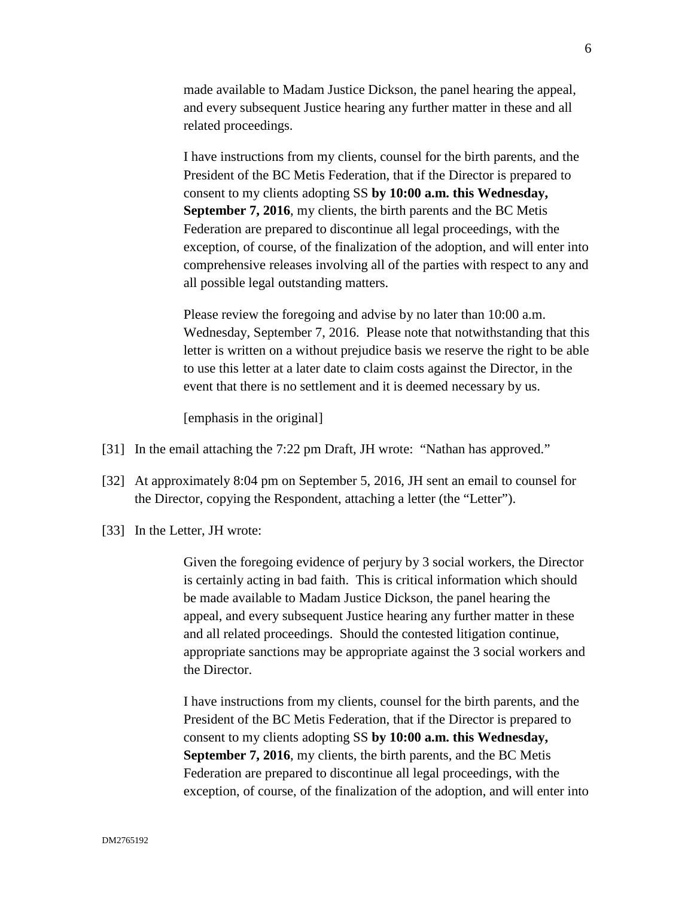made available to Madam Justice Dickson, the panel hearing the appeal, and every subsequent Justice hearing any further matter in these and all related proceedings.

I have instructions from my clients, counsel for the birth parents, and the President of the BC Metis Federation, that if the Director is prepared to consent to my clients adopting SS **by 10:00 a.m. this Wednesday, September 7, 2016**, my clients, the birth parents and the BC Metis Federation are prepared to discontinue all legal proceedings, with the exception, of course, of the finalization of the adoption, and will enter into comprehensive releases involving all of the parties with respect to any and all possible legal outstanding matters.

Please review the foregoing and advise by no later than 10:00 a.m. Wednesday, September 7, 2016. Please note that notwithstanding that this letter is written on a without prejudice basis we reserve the right to be able to use this letter at a later date to claim costs against the Director, in the event that there is no settlement and it is deemed necessary by us.

[emphasis in the original]

- [31] In the email attaching the 7:22 pm Draft, JH wrote: "Nathan has approved."
- [32] At approximately 8:04 pm on September 5, 2016, JH sent an email to counsel for the Director, copying the Respondent, attaching a letter (the "Letter").
- [33] In the Letter, JH wrote:

Given the foregoing evidence of perjury by 3 social workers, the Director is certainly acting in bad faith. This is critical information which should be made available to Madam Justice Dickson, the panel hearing the appeal, and every subsequent Justice hearing any further matter in these and all related proceedings. Should the contested litigation continue, appropriate sanctions may be appropriate against the 3 social workers and the Director.

I have instructions from my clients, counsel for the birth parents, and the President of the BC Metis Federation, that if the Director is prepared to consent to my clients adopting SS **by 10:00 a.m. this Wednesday, September 7, 2016**, my clients, the birth parents, and the BC Metis Federation are prepared to discontinue all legal proceedings, with the exception, of course, of the finalization of the adoption, and will enter into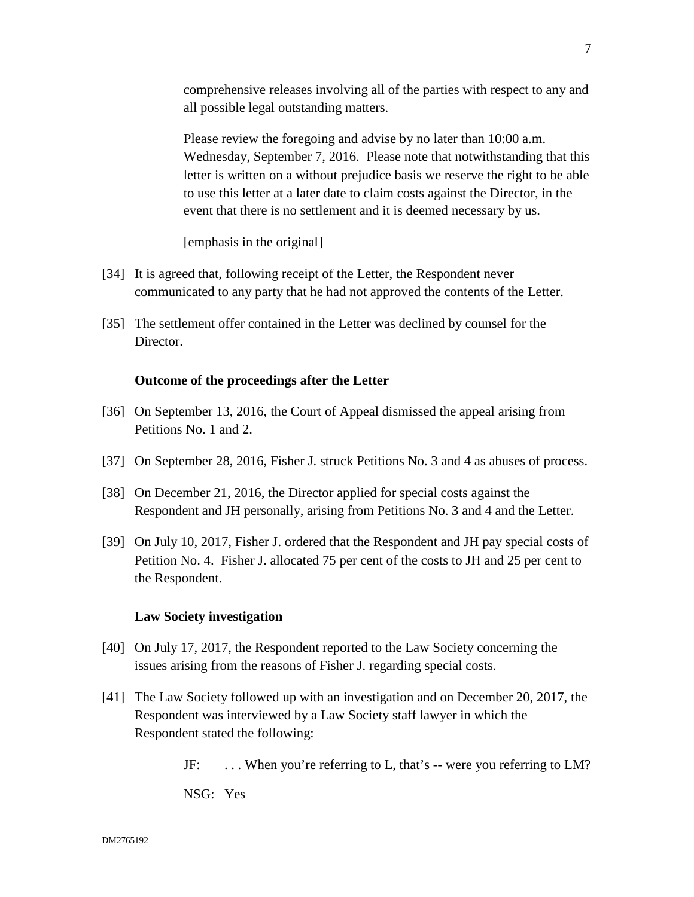comprehensive releases involving all of the parties with respect to any and all possible legal outstanding matters.

Please review the foregoing and advise by no later than 10:00 a.m. Wednesday, September 7, 2016. Please note that notwithstanding that this letter is written on a without prejudice basis we reserve the right to be able to use this letter at a later date to claim costs against the Director, in the event that there is no settlement and it is deemed necessary by us.

[emphasis in the original]

- [34] It is agreed that, following receipt of the Letter, the Respondent never communicated to any party that he had not approved the contents of the Letter.
- [35] The settlement offer contained in the Letter was declined by counsel for the Director.

### **Outcome of the proceedings after the Letter**

- [36] On September 13, 2016, the Court of Appeal dismissed the appeal arising from Petitions No. 1 and 2.
- [37] On September 28, 2016, Fisher J. struck Petitions No. 3 and 4 as abuses of process.
- [38] On December 21, 2016, the Director applied for special costs against the Respondent and JH personally, arising from Petitions No. 3 and 4 and the Letter.
- [39] On July 10, 2017, Fisher J. ordered that the Respondent and JH pay special costs of Petition No. 4. Fisher J. allocated 75 per cent of the costs to JH and 25 per cent to the Respondent.

### **Law Society investigation**

- [40] On July 17, 2017, the Respondent reported to the Law Society concerning the issues arising from the reasons of Fisher J. regarding special costs.
- [41] The Law Society followed up with an investigation and on December 20, 2017, the Respondent was interviewed by a Law Society staff lawyer in which the Respondent stated the following:

JF: . . . When you're referring to L, that's -- were you referring to LM?

NSG: Yes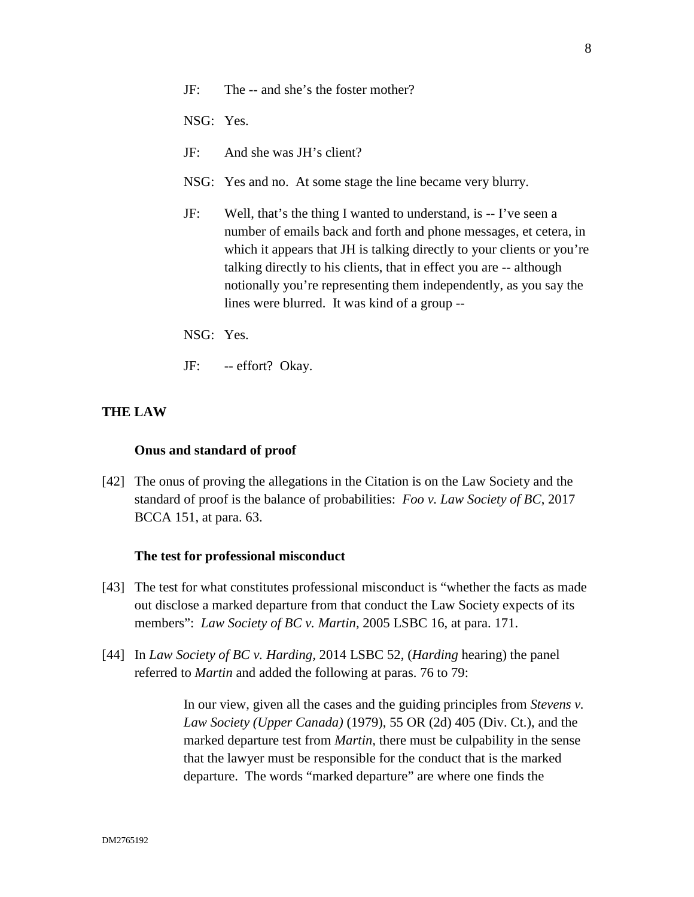NSG: Yes.

- JF: And she was JH's client?
- NSG: Yes and no. At some stage the line became very blurry.
- JF: Well, that's the thing I wanted to understand, is -- I've seen a number of emails back and forth and phone messages, et cetera, in which it appears that JH is talking directly to your clients or you're talking directly to his clients, that in effect you are -- although notionally you're representing them independently, as you say the lines were blurred. It was kind of a group --
- NSG: Yes.
- JF: -- effort? Okay.

## **THE LAW**

### **Onus and standard of proof**

[42] The onus of proving the allegations in the Citation is on the Law Society and the standard of proof is the balance of probabilities: *Foo v. Law Society of BC*, 2017 BCCA 151, at para. 63.

#### **The test for professional misconduct**

- [43] The test for what constitutes professional misconduct is "whether the facts as made out disclose a marked departure from that conduct the Law Society expects of its members": *Law Society of BC v. Martin,* 2005 LSBC 16, at para. 171.
- [44] In *Law Society of BC v. Harding,* 2014 LSBC 52, (*Harding* hearing) the panel referred to *Martin* and added the following at paras. 76 to 79:

In our view, given all the cases and the guiding principles from *Stevens v. Law Society (Upper Canada)* (1979), 55 OR (2d) 405 (Div. Ct.), and the marked departure test from *Martin,* there must be culpability in the sense that the lawyer must be responsible for the conduct that is the marked departure. The words "marked departure" are where one finds the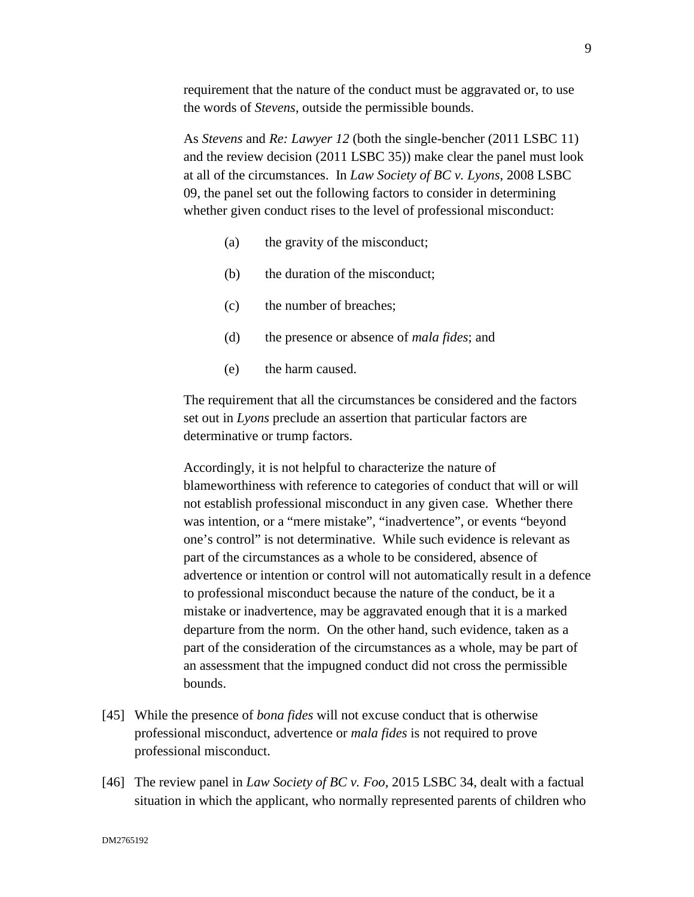requirement that the nature of the conduct must be aggravated or, to use the words of *Stevens*, outside the permissible bounds.

As *Stevens* and *Re: Lawyer 12* (both the single-bencher (2011 LSBC 11) and the review decision (2011 LSBC 35)) make clear the panel must look at all of the circumstances. In *Law Society of BC v. Lyons*, 2008 LSBC 09, the panel set out the following factors to consider in determining whether given conduct rises to the level of professional misconduct:

- (a) the gravity of the misconduct;
- (b) the duration of the misconduct;
- (c) the number of breaches;
- (d) the presence or absence of *mala fides*; and
- (e) the harm caused.

The requirement that all the circumstances be considered and the factors set out in *Lyons* preclude an assertion that particular factors are determinative or trump factors.

Accordingly, it is not helpful to characterize the nature of blameworthiness with reference to categories of conduct that will or will not establish professional misconduct in any given case. Whether there was intention, or a "mere mistake", "inadvertence", or events "beyond one's control" is not determinative. While such evidence is relevant as part of the circumstances as a whole to be considered, absence of advertence or intention or control will not automatically result in a defence to professional misconduct because the nature of the conduct, be it a mistake or inadvertence, may be aggravated enough that it is a marked departure from the norm. On the other hand, such evidence, taken as a part of the consideration of the circumstances as a whole, may be part of an assessment that the impugned conduct did not cross the permissible bounds.

- [45] While the presence of *bona fides* will not excuse conduct that is otherwise professional misconduct, advertence or *mala fides* is not required to prove professional misconduct.
- [46] The review panel in *Law Society of BC v. Foo*, 2015 LSBC 34, dealt with a factual situation in which the applicant, who normally represented parents of children who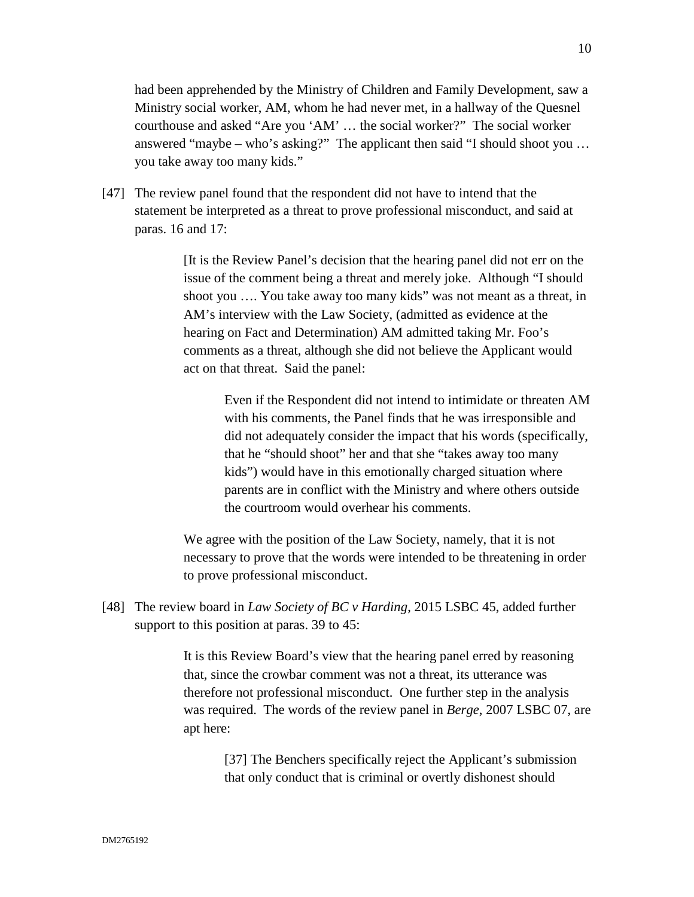had been apprehended by the Ministry of Children and Family Development, saw a Ministry social worker, AM, whom he had never met, in a hallway of the Quesnel courthouse and asked "Are you 'AM' … the social worker?" The social worker answered "maybe – who's asking?" The applicant then said "I should shoot you … you take away too many kids."

[47] The review panel found that the respondent did not have to intend that the statement be interpreted as a threat to prove professional misconduct, and said at paras. 16 and 17:

> [It is the Review Panel's decision that the hearing panel did not err on the issue of the comment being a threat and merely joke. Although "I should shoot you …. You take away too many kids" was not meant as a threat, in AM's interview with the Law Society, (admitted as evidence at the hearing on Fact and Determination) AM admitted taking Mr. Foo's comments as a threat, although she did not believe the Applicant would act on that threat. Said the panel:

Even if the Respondent did not intend to intimidate or threaten AM with his comments, the Panel finds that he was irresponsible and did not adequately consider the impact that his words (specifically, that he "should shoot" her and that she "takes away too many kids") would have in this emotionally charged situation where parents are in conflict with the Ministry and where others outside the courtroom would overhear his comments.

We agree with the position of the Law Society, namely, that it is not necessary to prove that the words were intended to be threatening in order to prove professional misconduct.

[48] The review board in *Law Society of BC v Harding*, 2015 LSBC 45, added further support to this position at paras. 39 to 45:

> It is this Review Board's view that the hearing panel erred by reasoning that, since the crowbar comment was not a threat, its utterance was therefore not professional misconduct. One further step in the analysis was required. The words of the review panel in *Berge*, 2007 LSBC 07, are apt here:

[37] The Benchers specifically reject the Applicant's submission that only conduct that is criminal or overtly dishonest should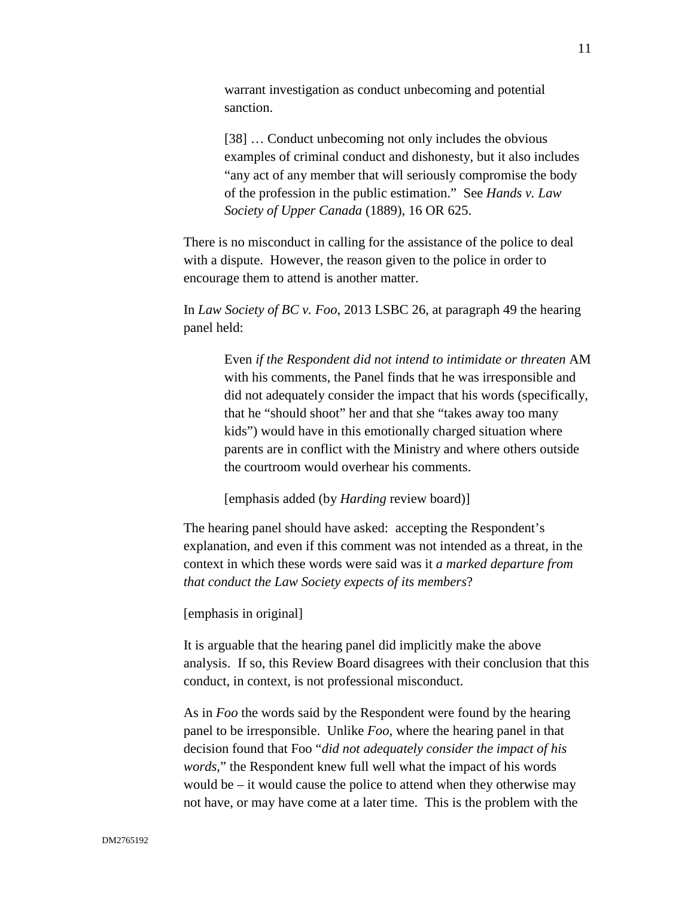warrant investigation as conduct unbecoming and potential sanction.

[38] … Conduct unbecoming not only includes the obvious examples of criminal conduct and dishonesty, but it also includes "any act of any member that will seriously compromise the body of the profession in the public estimation." See *Hands v. Law Society of Upper Canada* (1889), 16 OR 625.

There is no misconduct in calling for the assistance of the police to deal with a dispute. However, the reason given to the police in order to encourage them to attend is another matter.

In *Law Society of BC v. Foo*, 2013 LSBC 26, at paragraph 49 the hearing panel held:

> Even *if the Respondent did not intend to intimidate or threaten* AM with his comments, the Panel finds that he was irresponsible and did not adequately consider the impact that his words (specifically, that he "should shoot" her and that she "takes away too many kids") would have in this emotionally charged situation where parents are in conflict with the Ministry and where others outside the courtroom would overhear his comments.

[emphasis added (by *Harding* review board)]

The hearing panel should have asked: accepting the Respondent's explanation, and even if this comment was not intended as a threat, in the context in which these words were said was it *a marked departure from that conduct the Law Society expects of its members*?

[emphasis in original]

It is arguable that the hearing panel did implicitly make the above analysis. If so, this Review Board disagrees with their conclusion that this conduct, in context, is not professional misconduct.

As in *Foo* the words said by the Respondent were found by the hearing panel to be irresponsible. Unlike *Foo*, where the hearing panel in that decision found that Foo "*did not adequately consider the impact of his words*," the Respondent knew full well what the impact of his words would be – it would cause the police to attend when they otherwise may not have, or may have come at a later time. This is the problem with the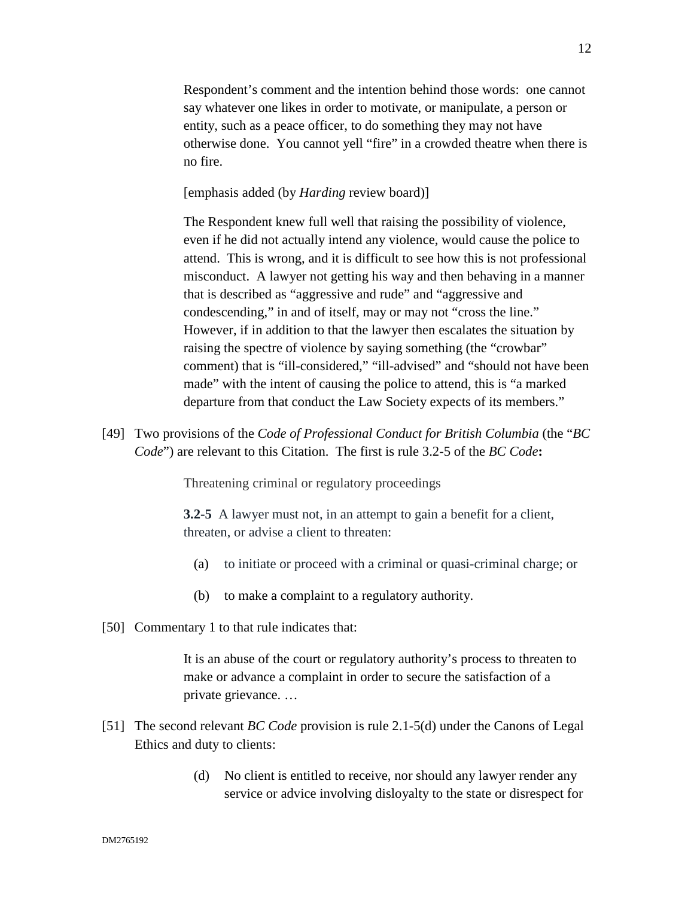Respondent's comment and the intention behind those words: one cannot say whatever one likes in order to motivate, or manipulate, a person or entity, such as a peace officer, to do something they may not have otherwise done. You cannot yell "fire" in a crowded theatre when there is no fire.

[emphasis added (by *Harding* review board)]

The Respondent knew full well that raising the possibility of violence, even if he did not actually intend any violence, would cause the police to attend. This is wrong, and it is difficult to see how this is not professional misconduct. A lawyer not getting his way and then behaving in a manner that is described as "aggressive and rude" and "aggressive and condescending," in and of itself, may or may not "cross the line." However, if in addition to that the lawyer then escalates the situation by raising the spectre of violence by saying something (the "crowbar" comment) that is "ill-considered," "ill-advised" and "should not have been made" with the intent of causing the police to attend, this is "a marked departure from that conduct the Law Society expects of its members."

[49] Two provisions of the *Code of Professional Conduct for British Columbia* (the "*BC Code*") are relevant to this Citation. The first is rule 3.2-5 of the *BC Code***:**

Threatening criminal or regulatory proceedings

**3.2-5** A lawyer must not, in an attempt to gain a benefit for a client, threaten, or advise a client to threaten:

- (a) to initiate or proceed with a criminal or quasi-criminal charge; or
- (b) to make a complaint to a regulatory authority.
- [50] Commentary 1 to that rule indicates that:

It is an abuse of the court or regulatory authority's process to threaten to make or advance a complaint in order to secure the satisfaction of a private grievance. …

- [51] The second relevant *BC Code* provision is rule 2.1-5(d) under the Canons of Legal Ethics and duty to clients:
	- (d) No client is entitled to receive, nor should any lawyer render any service or advice involving disloyalty to the state or disrespect for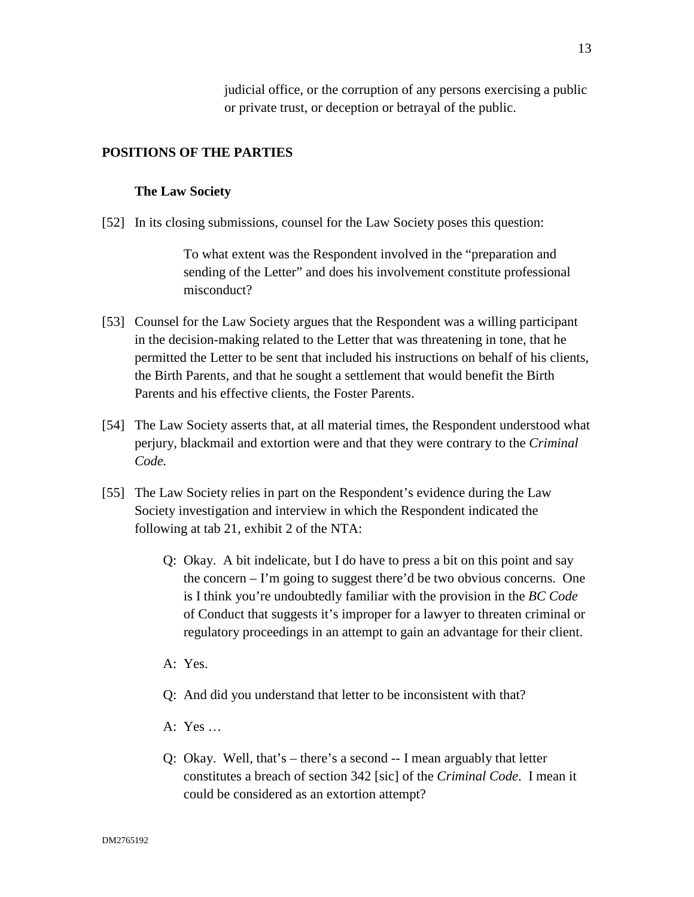judicial office, or the corruption of any persons exercising a public or private trust, or deception or betrayal of the public.

## **POSITIONS OF THE PARTIES**

### **The Law Society**

[52] In its closing submissions, counsel for the Law Society poses this question:

To what extent was the Respondent involved in the "preparation and sending of the Letter" and does his involvement constitute professional misconduct?

- [53] Counsel for the Law Society argues that the Respondent was a willing participant in the decision-making related to the Letter that was threatening in tone, that he permitted the Letter to be sent that included his instructions on behalf of his clients, the Birth Parents, and that he sought a settlement that would benefit the Birth Parents and his effective clients, the Foster Parents.
- [54] The Law Society asserts that, at all material times, the Respondent understood what perjury, blackmail and extortion were and that they were contrary to the *Criminal Code.*
- [55] The Law Society relies in part on the Respondent's evidence during the Law Society investigation and interview in which the Respondent indicated the following at tab 21, exhibit 2 of the NTA:
	- Q: Okay. A bit indelicate, but I do have to press a bit on this point and say the concern – I'm going to suggest there'd be two obvious concerns. One is I think you're undoubtedly familiar with the provision in the *BC Code* of Conduct that suggests it's improper for a lawyer to threaten criminal or regulatory proceedings in an attempt to gain an advantage for their client.
	- A: Yes.
	- Q: And did you understand that letter to be inconsistent with that?
	- A: Yes …
	- Q: Okay. Well, that's there's a second -- I mean arguably that letter constitutes a breach of section 342 [sic] of the *Criminal Code*. I mean it could be considered as an extortion attempt?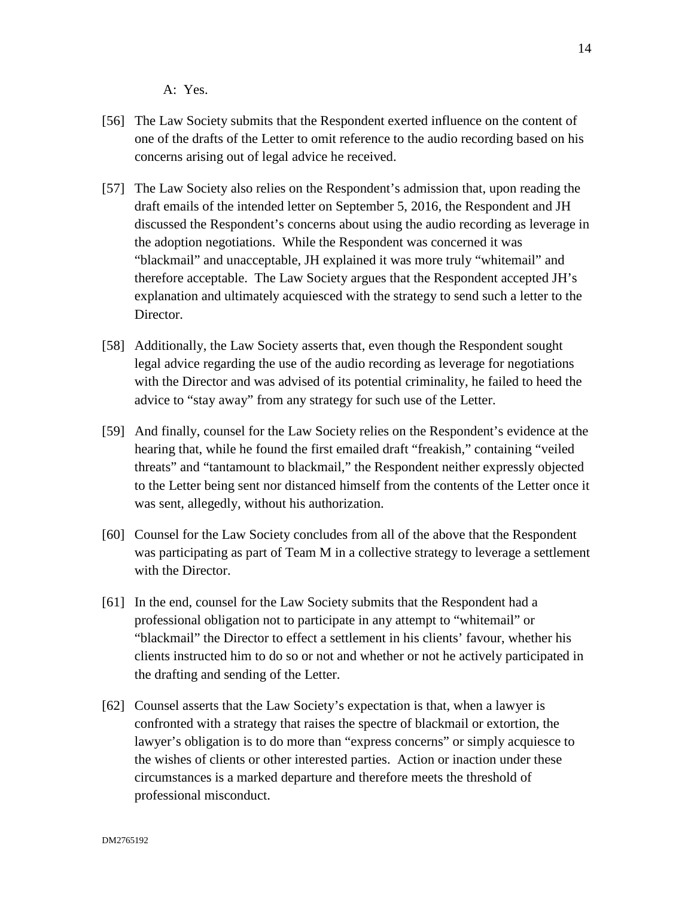A: Yes.

- [56] The Law Society submits that the Respondent exerted influence on the content of one of the drafts of the Letter to omit reference to the audio recording based on his concerns arising out of legal advice he received.
- [57] The Law Society also relies on the Respondent's admission that, upon reading the draft emails of the intended letter on September 5, 2016, the Respondent and JH discussed the Respondent's concerns about using the audio recording as leverage in the adoption negotiations. While the Respondent was concerned it was "blackmail" and unacceptable, JH explained it was more truly "whitemail" and therefore acceptable. The Law Society argues that the Respondent accepted JH's explanation and ultimately acquiesced with the strategy to send such a letter to the Director.
- [58] Additionally, the Law Society asserts that, even though the Respondent sought legal advice regarding the use of the audio recording as leverage for negotiations with the Director and was advised of its potential criminality, he failed to heed the advice to "stay away" from any strategy for such use of the Letter.
- [59] And finally, counsel for the Law Society relies on the Respondent's evidence at the hearing that, while he found the first emailed draft "freakish," containing "veiled threats" and "tantamount to blackmail," the Respondent neither expressly objected to the Letter being sent nor distanced himself from the contents of the Letter once it was sent, allegedly, without his authorization.
- [60] Counsel for the Law Society concludes from all of the above that the Respondent was participating as part of Team M in a collective strategy to leverage a settlement with the Director.
- [61] In the end, counsel for the Law Society submits that the Respondent had a professional obligation not to participate in any attempt to "whitemail" or "blackmail" the Director to effect a settlement in his clients' favour, whether his clients instructed him to do so or not and whether or not he actively participated in the drafting and sending of the Letter.
- [62] Counsel asserts that the Law Society's expectation is that, when a lawyer is confronted with a strategy that raises the spectre of blackmail or extortion, the lawyer's obligation is to do more than "express concerns" or simply acquiesce to the wishes of clients or other interested parties. Action or inaction under these circumstances is a marked departure and therefore meets the threshold of professional misconduct.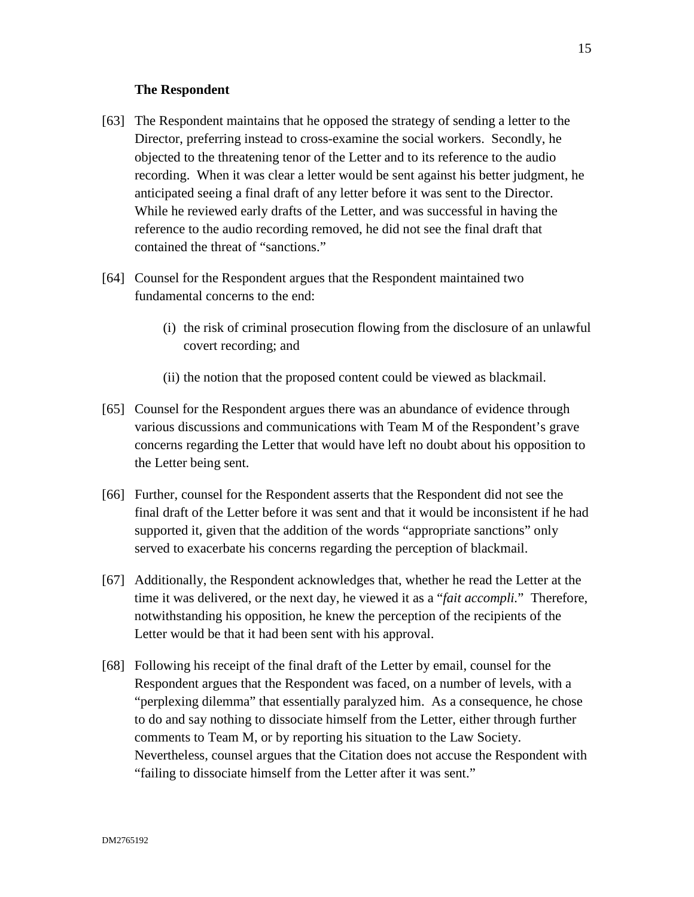## **The Respondent**

- [63] The Respondent maintains that he opposed the strategy of sending a letter to the Director, preferring instead to cross-examine the social workers. Secondly, he objected to the threatening tenor of the Letter and to its reference to the audio recording. When it was clear a letter would be sent against his better judgment, he anticipated seeing a final draft of any letter before it was sent to the Director. While he reviewed early drafts of the Letter, and was successful in having the reference to the audio recording removed, he did not see the final draft that contained the threat of "sanctions."
- [64] Counsel for the Respondent argues that the Respondent maintained two fundamental concerns to the end:
	- (i) the risk of criminal prosecution flowing from the disclosure of an unlawful covert recording; and
	- (ii) the notion that the proposed content could be viewed as blackmail.
- [65] Counsel for the Respondent argues there was an abundance of evidence through various discussions and communications with Team M of the Respondent's grave concerns regarding the Letter that would have left no doubt about his opposition to the Letter being sent.
- [66] Further, counsel for the Respondent asserts that the Respondent did not see the final draft of the Letter before it was sent and that it would be inconsistent if he had supported it, given that the addition of the words "appropriate sanctions" only served to exacerbate his concerns regarding the perception of blackmail.
- [67] Additionally, the Respondent acknowledges that, whether he read the Letter at the time it was delivered, or the next day, he viewed it as a "*fait accompli.*" Therefore, notwithstanding his opposition, he knew the perception of the recipients of the Letter would be that it had been sent with his approval.
- [68] Following his receipt of the final draft of the Letter by email, counsel for the Respondent argues that the Respondent was faced, on a number of levels, with a "perplexing dilemma" that essentially paralyzed him. As a consequence, he chose to do and say nothing to dissociate himself from the Letter, either through further comments to Team M, or by reporting his situation to the Law Society. Nevertheless, counsel argues that the Citation does not accuse the Respondent with "failing to dissociate himself from the Letter after it was sent."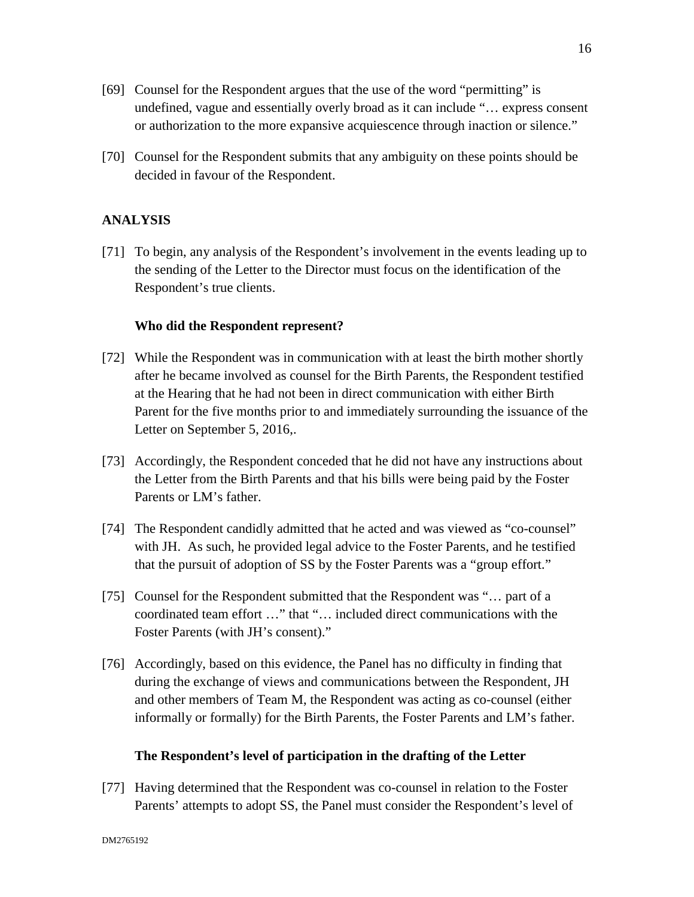- [69] Counsel for the Respondent argues that the use of the word "permitting" is undefined, vague and essentially overly broad as it can include "… express consent or authorization to the more expansive acquiescence through inaction or silence."
- [70] Counsel for the Respondent submits that any ambiguity on these points should be decided in favour of the Respondent.

## **ANALYSIS**

[71] To begin, any analysis of the Respondent's involvement in the events leading up to the sending of the Letter to the Director must focus on the identification of the Respondent's true clients.

### **Who did the Respondent represent?**

- [72] While the Respondent was in communication with at least the birth mother shortly after he became involved as counsel for the Birth Parents, the Respondent testified at the Hearing that he had not been in direct communication with either Birth Parent for the five months prior to and immediately surrounding the issuance of the Letter on September 5, 2016,.
- [73] Accordingly, the Respondent conceded that he did not have any instructions about the Letter from the Birth Parents and that his bills were being paid by the Foster Parents or LM's father.
- [74] The Respondent candidly admitted that he acted and was viewed as "co-counsel" with JH. As such, he provided legal advice to the Foster Parents, and he testified that the pursuit of adoption of SS by the Foster Parents was a "group effort."
- [75] Counsel for the Respondent submitted that the Respondent was "... part of a coordinated team effort …" that "… included direct communications with the Foster Parents (with JH's consent)."
- [76] Accordingly, based on this evidence, the Panel has no difficulty in finding that during the exchange of views and communications between the Respondent, JH and other members of Team M, the Respondent was acting as co-counsel (either informally or formally) for the Birth Parents, the Foster Parents and LM's father.

### **The Respondent's level of participation in the drafting of the Letter**

[77] Having determined that the Respondent was co-counsel in relation to the Foster Parents' attempts to adopt SS, the Panel must consider the Respondent's level of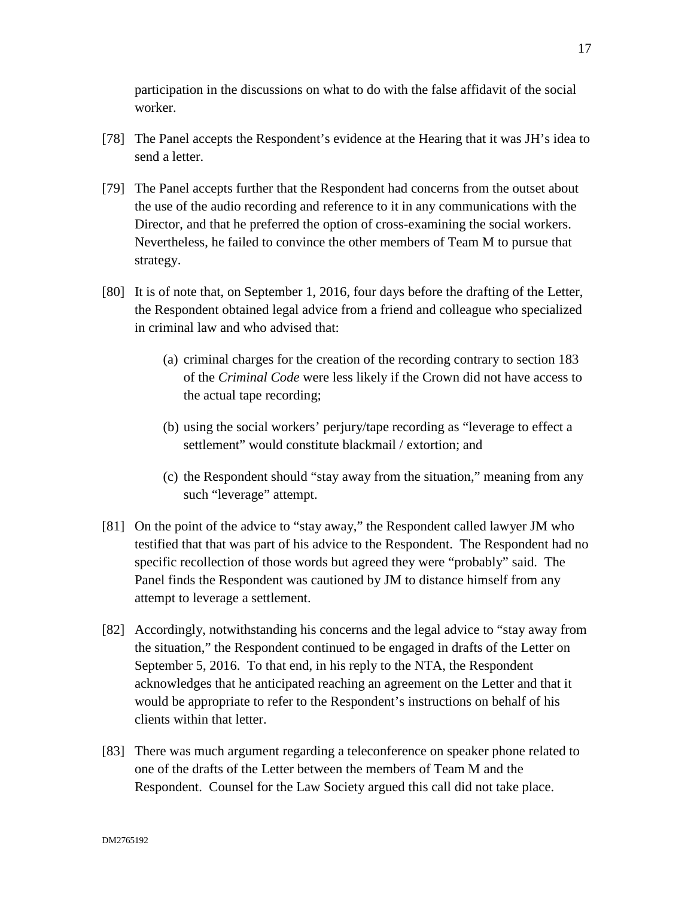participation in the discussions on what to do with the false affidavit of the social worker.

- [78] The Panel accepts the Respondent's evidence at the Hearing that it was JH's idea to send a letter.
- [79] The Panel accepts further that the Respondent had concerns from the outset about the use of the audio recording and reference to it in any communications with the Director, and that he preferred the option of cross-examining the social workers. Nevertheless, he failed to convince the other members of Team M to pursue that strategy.
- [80] It is of note that, on September 1, 2016, four days before the drafting of the Letter, the Respondent obtained legal advice from a friend and colleague who specialized in criminal law and who advised that:
	- (a) criminal charges for the creation of the recording contrary to section 183 of the *Criminal Code* were less likely if the Crown did not have access to the actual tape recording;
	- (b) using the social workers' perjury/tape recording as "leverage to effect a settlement" would constitute blackmail / extortion; and
	- (c) the Respondent should "stay away from the situation," meaning from any such "leverage" attempt.
- [81] On the point of the advice to "stay away," the Respondent called lawyer JM who testified that that was part of his advice to the Respondent. The Respondent had no specific recollection of those words but agreed they were "probably" said. The Panel finds the Respondent was cautioned by JM to distance himself from any attempt to leverage a settlement.
- [82] Accordingly, notwithstanding his concerns and the legal advice to "stay away from the situation," the Respondent continued to be engaged in drafts of the Letter on September 5, 2016. To that end, in his reply to the NTA, the Respondent acknowledges that he anticipated reaching an agreement on the Letter and that it would be appropriate to refer to the Respondent's instructions on behalf of his clients within that letter.
- [83] There was much argument regarding a teleconference on speaker phone related to one of the drafts of the Letter between the members of Team M and the Respondent. Counsel for the Law Society argued this call did not take place.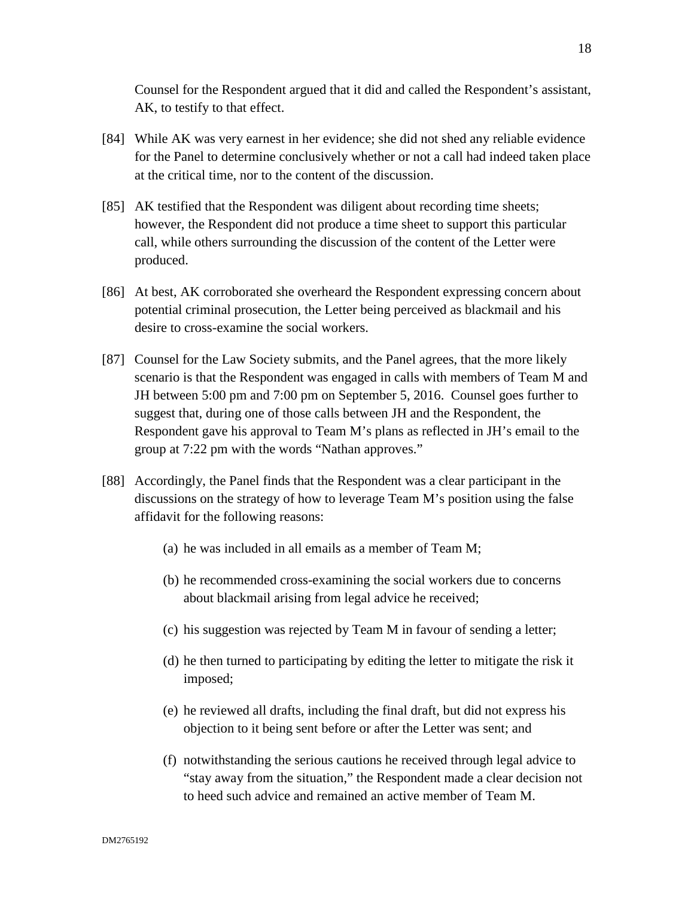Counsel for the Respondent argued that it did and called the Respondent's assistant, AK, to testify to that effect.

- [84] While AK was very earnest in her evidence; she did not shed any reliable evidence for the Panel to determine conclusively whether or not a call had indeed taken place at the critical time, nor to the content of the discussion.
- [85] AK testified that the Respondent was diligent about recording time sheets; however, the Respondent did not produce a time sheet to support this particular call, while others surrounding the discussion of the content of the Letter were produced.
- [86] At best, AK corroborated she overheard the Respondent expressing concern about potential criminal prosecution, the Letter being perceived as blackmail and his desire to cross-examine the social workers.
- [87] Counsel for the Law Society submits, and the Panel agrees, that the more likely scenario is that the Respondent was engaged in calls with members of Team M and JH between 5:00 pm and 7:00 pm on September 5, 2016. Counsel goes further to suggest that, during one of those calls between JH and the Respondent, the Respondent gave his approval to Team M's plans as reflected in JH's email to the group at 7:22 pm with the words "Nathan approves."
- [88] Accordingly, the Panel finds that the Respondent was a clear participant in the discussions on the strategy of how to leverage Team M's position using the false affidavit for the following reasons:
	- (a) he was included in all emails as a member of Team M;
	- (b) he recommended cross-examining the social workers due to concerns about blackmail arising from legal advice he received;
	- (c) his suggestion was rejected by Team M in favour of sending a letter;
	- (d) he then turned to participating by editing the letter to mitigate the risk it imposed;
	- (e) he reviewed all drafts, including the final draft, but did not express his objection to it being sent before or after the Letter was sent; and
	- (f) notwithstanding the serious cautions he received through legal advice to "stay away from the situation," the Respondent made a clear decision not to heed such advice and remained an active member of Team M.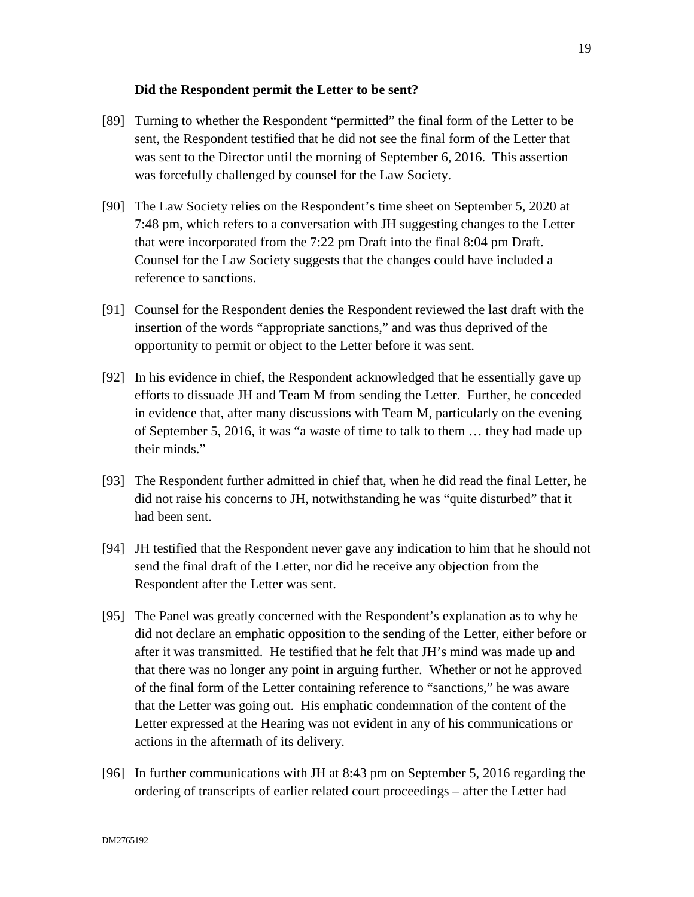## **Did the Respondent permit the Letter to be sent?**

- [89] Turning to whether the Respondent "permitted" the final form of the Letter to be sent, the Respondent testified that he did not see the final form of the Letter that was sent to the Director until the morning of September 6, 2016. This assertion was forcefully challenged by counsel for the Law Society.
- [90] The Law Society relies on the Respondent's time sheet on September 5, 2020 at 7:48 pm, which refers to a conversation with JH suggesting changes to the Letter that were incorporated from the 7:22 pm Draft into the final 8:04 pm Draft. Counsel for the Law Society suggests that the changes could have included a reference to sanctions.
- [91] Counsel for the Respondent denies the Respondent reviewed the last draft with the insertion of the words "appropriate sanctions," and was thus deprived of the opportunity to permit or object to the Letter before it was sent.
- [92] In his evidence in chief, the Respondent acknowledged that he essentially gave up efforts to dissuade JH and Team M from sending the Letter. Further, he conceded in evidence that, after many discussions with Team M, particularly on the evening of September 5, 2016, it was "a waste of time to talk to them … they had made up their minds."
- [93] The Respondent further admitted in chief that, when he did read the final Letter, he did not raise his concerns to JH, notwithstanding he was "quite disturbed" that it had been sent.
- [94] JH testified that the Respondent never gave any indication to him that he should not send the final draft of the Letter, nor did he receive any objection from the Respondent after the Letter was sent.
- [95] The Panel was greatly concerned with the Respondent's explanation as to why he did not declare an emphatic opposition to the sending of the Letter, either before or after it was transmitted. He testified that he felt that JH's mind was made up and that there was no longer any point in arguing further. Whether or not he approved of the final form of the Letter containing reference to "sanctions," he was aware that the Letter was going out. His emphatic condemnation of the content of the Letter expressed at the Hearing was not evident in any of his communications or actions in the aftermath of its delivery.
- [96] In further communications with JH at 8:43 pm on September 5, 2016 regarding the ordering of transcripts of earlier related court proceedings – after the Letter had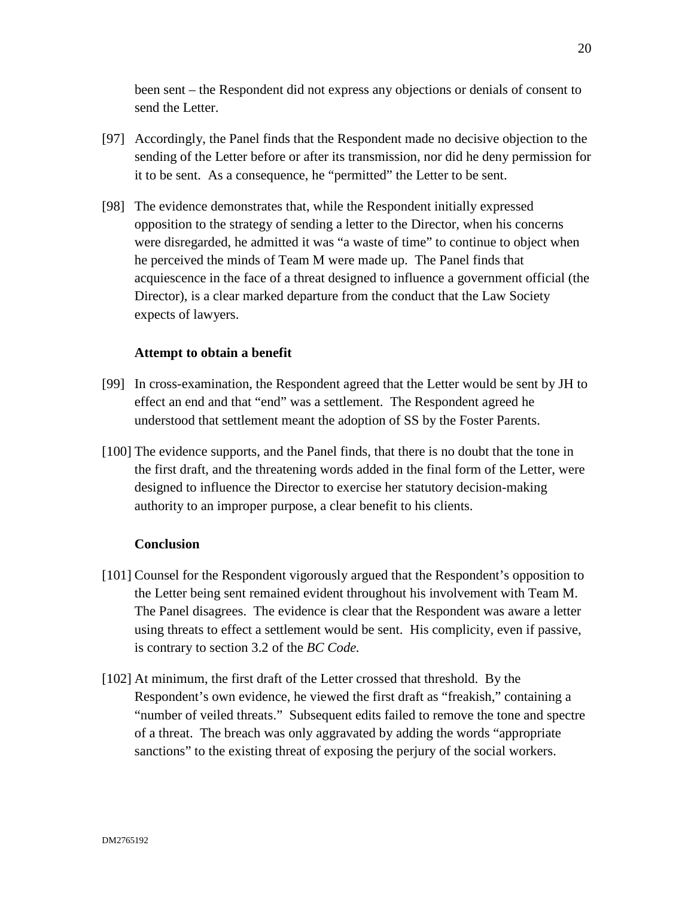been sent – the Respondent did not express any objections or denials of consent to send the Letter.

- [97] Accordingly, the Panel finds that the Respondent made no decisive objection to the sending of the Letter before or after its transmission, nor did he deny permission for it to be sent. As a consequence, he "permitted" the Letter to be sent.
- [98] The evidence demonstrates that, while the Respondent initially expressed opposition to the strategy of sending a letter to the Director, when his concerns were disregarded, he admitted it was "a waste of time" to continue to object when he perceived the minds of Team M were made up. The Panel finds that acquiescence in the face of a threat designed to influence a government official (the Director), is a clear marked departure from the conduct that the Law Society expects of lawyers.

## **Attempt to obtain a benefit**

- [99] In cross-examination, the Respondent agreed that the Letter would be sent by JH to effect an end and that "end" was a settlement. The Respondent agreed he understood that settlement meant the adoption of SS by the Foster Parents.
- [100] The evidence supports, and the Panel finds, that there is no doubt that the tone in the first draft, and the threatening words added in the final form of the Letter, were designed to influence the Director to exercise her statutory decision-making authority to an improper purpose, a clear benefit to his clients.

## **Conclusion**

- [101] Counsel for the Respondent vigorously argued that the Respondent's opposition to the Letter being sent remained evident throughout his involvement with Team M. The Panel disagrees. The evidence is clear that the Respondent was aware a letter using threats to effect a settlement would be sent. His complicity, even if passive, is contrary to section 3.2 of the *BC Code.*
- [102] At minimum, the first draft of the Letter crossed that threshold. By the Respondent's own evidence, he viewed the first draft as "freakish," containing a "number of veiled threats." Subsequent edits failed to remove the tone and spectre of a threat. The breach was only aggravated by adding the words "appropriate sanctions" to the existing threat of exposing the perjury of the social workers.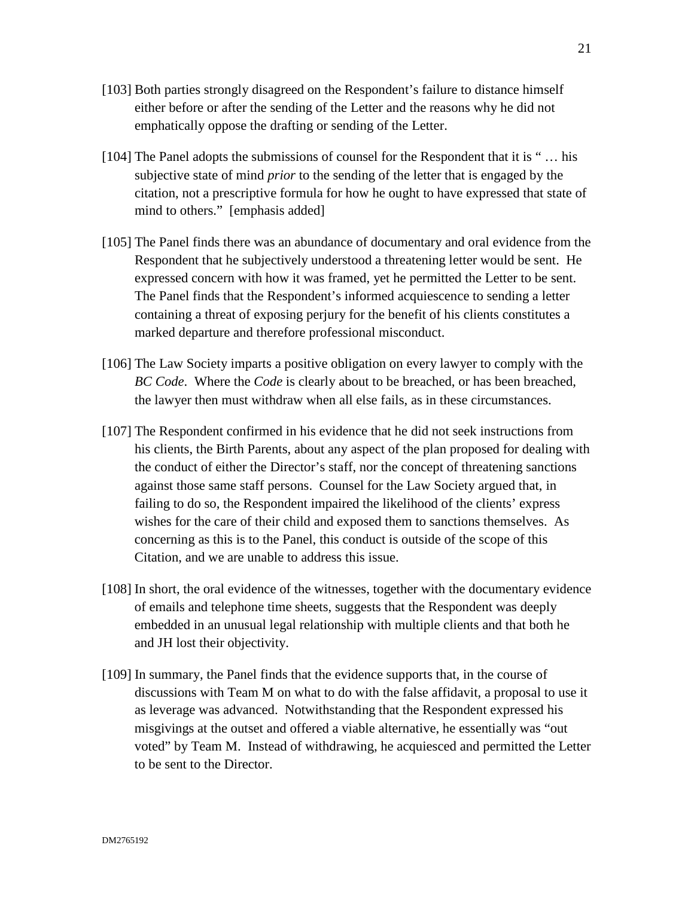- [103] Both parties strongly disagreed on the Respondent's failure to distance himself either before or after the sending of the Letter and the reasons why he did not emphatically oppose the drafting or sending of the Letter.
- [104] The Panel adopts the submissions of counsel for the Respondent that it is " … his subjective state of mind *prior* to the sending of the letter that is engaged by the citation, not a prescriptive formula for how he ought to have expressed that state of mind to others." [emphasis added]
- [105] The Panel finds there was an abundance of documentary and oral evidence from the Respondent that he subjectively understood a threatening letter would be sent. He expressed concern with how it was framed, yet he permitted the Letter to be sent. The Panel finds that the Respondent's informed acquiescence to sending a letter containing a threat of exposing perjury for the benefit of his clients constitutes a marked departure and therefore professional misconduct.
- [106] The Law Society imparts a positive obligation on every lawyer to comply with the *BC Code*. Where the *Code* is clearly about to be breached, or has been breached, the lawyer then must withdraw when all else fails, as in these circumstances.
- [107] The Respondent confirmed in his evidence that he did not seek instructions from his clients, the Birth Parents, about any aspect of the plan proposed for dealing with the conduct of either the Director's staff, nor the concept of threatening sanctions against those same staff persons. Counsel for the Law Society argued that, in failing to do so, the Respondent impaired the likelihood of the clients' express wishes for the care of their child and exposed them to sanctions themselves. As concerning as this is to the Panel, this conduct is outside of the scope of this Citation, and we are unable to address this issue.
- [108] In short, the oral evidence of the witnesses, together with the documentary evidence of emails and telephone time sheets, suggests that the Respondent was deeply embedded in an unusual legal relationship with multiple clients and that both he and JH lost their objectivity.
- [109] In summary, the Panel finds that the evidence supports that, in the course of discussions with Team M on what to do with the false affidavit, a proposal to use it as leverage was advanced. Notwithstanding that the Respondent expressed his misgivings at the outset and offered a viable alternative, he essentially was "out voted" by Team M. Instead of withdrawing, he acquiesced and permitted the Letter to be sent to the Director.